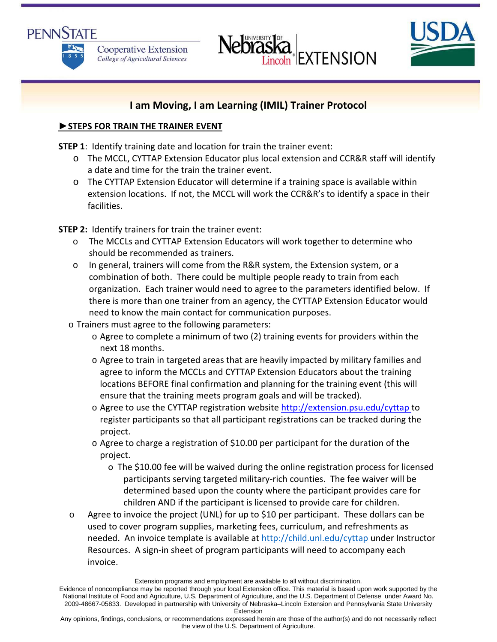





# **I am Moving, I am Learning (IMIL) Trainer Protocol**

# **►STEPS FOR TRAIN THE TRAINER EVENT**

**STEP 1**: Identify training date and location for train the trainer event:

- o The MCCL, CYTTAP Extension Educator plus local extension and CCR&R staff will identify a date and time for the train the trainer event.
- o The CYTTAP Extension Educator will determine if a training space is available within extension locations. If not, the MCCL will work the CCR&R's to identify a space in their facilities.

**STEP 2:** Identify trainers for train the trainer event:

- o The MCCLs and CYTTAP Extension Educators will work together to determine who should be recommended as trainers.
- o In general, trainers will come from the R&R system, the Extension system, or a combination of both. There could be multiple people ready to train from each organization. Each trainer would need to agree to the parameters identified below. If there is more than one trainer from an agency, the CYTTAP Extension Educator would need to know the main contact for communication purposes.
- o Trainers must agree to the following parameters:
	- o Agree to complete a minimum of two (2) training events for providers within the next 18 months.
	- o Agree to train in targeted areas that are heavily impacted by military families and agree to inform the MCCLs and CYTTAP Extension Educators about the training locations BEFORE final confirmation and planning for the training event (this will ensure that the training meets program goals and will be tracked).
	- o Agree to use the CYTTAP registration website http://extension.psu.edu/cyttap to register participants so that all participant registrations can be tracked during the project.
	- o Agree to charge a registration of \$10.00 per participant for the duration of the project.
		- o The \$10.00 fee will be waived during the online registration process for licensed participants serving targeted military‐rich counties. The fee waiver will be determined based upon the county where the participant provides care for children AND if the participant is licensed to provide care for children.
- o Agree to invoice the project (UNL) for up to \$10 per participant. These dollars can be used to cover program supplies, marketing fees, curriculum, and refreshments as needed. An invoice template is available at http://child.unl.edu/cyttap under Instructor Resources. A sign‐in sheet of program participants will need to accompany each invoice.

Evidence of noncompliance may be reported through your local Extension office. This material is based upon work supported by the National Institute of Food and Agriculture, U.S. Department of Agriculture, and the U.S. Department of Defense under Award No. 2009-48667-05833. Developed in partnership with University of Nebraska–Lincoln Extension and Pennsylvania State University Extension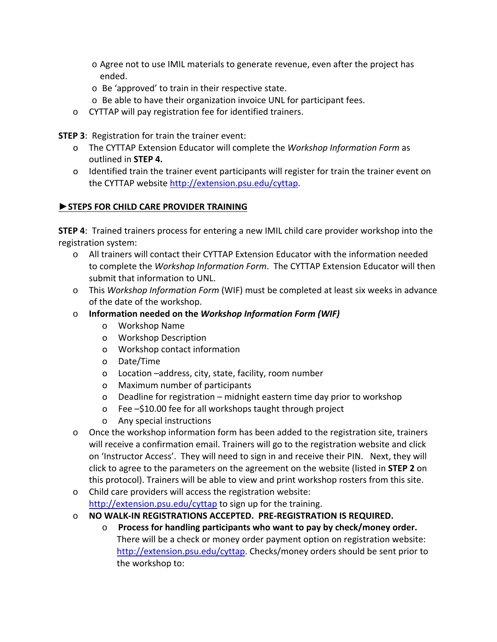- o Agree not to use IMIL materials to generate revenue, even after the project has ended.
- o Be 'approved' to train in their respective state.
- o Be able to have their organization invoice UNL for participant fees.
- o CYTTAP will pay registration fee for identified trainers.

**STEP 3**: Registration for train the trainer event:

- o The CYTTAP Extension Educator will complete the *Workshop Information Form* as outlined in **STEP 4.**
- o Identified train the trainer event participants will register for train the trainer event on the CYTTAP website http://extension.psu.edu/cyttap.

### **►STEPS FOR CHILD CARE PROVIDER TRAINING**

**STEP 4**: Trained trainers process for entering a new IMIL child care provider workshop into the registration system:

- o All trainers will contact their CYTTAP Extension Educator with the information needed to complete the *Workshop Information Form*. The CYTTAP Extension Educator will then submit that information to UNL.
- o This *Workshop Information Form* (WIF) must be completed at least six weeks in advance of the date of the workshop.
- o **Information needed on the** *Workshop Information Form (WIF)*
	- o Workshop Name
	- o Workshop Description
	- o Workshop contact information
	- o Date/Time
	- o Location –address, city, state, facility, room number
	- o Maximum number of participants
	- o Deadline for registration midnight eastern time day prior to workshop
	- o Fee –\$10.00 fee for all workshops taught through project
	- o Any special instructions
- o Once the workshop information form has been added to the registration site, trainers will receive a confirmation email. Trainers will go to the registration website and click on 'Instructor Access'. They will need to sign in and receive their PIN. Next, they will click to agree to the parameters on the agreement on the website (listed in **STEP 2** on this protocol). Trainers will be able to view and print workshop rosters from this site.
- o Child care providers will access the registration website: http://extension.psu.edu/cyttap to sign up for the training.
- o **NO WALK‐IN REGISTRATIONS ACCEPTED. PRE‐REGISTRATION IS REQUIRED.**
	- o **Process for handling participants who want to pay by check/money order.** There will be a check or money order payment option on registration website: http://extension.psu.edu/cyttap. Checks/money orders should be sent prior to the workshop to: